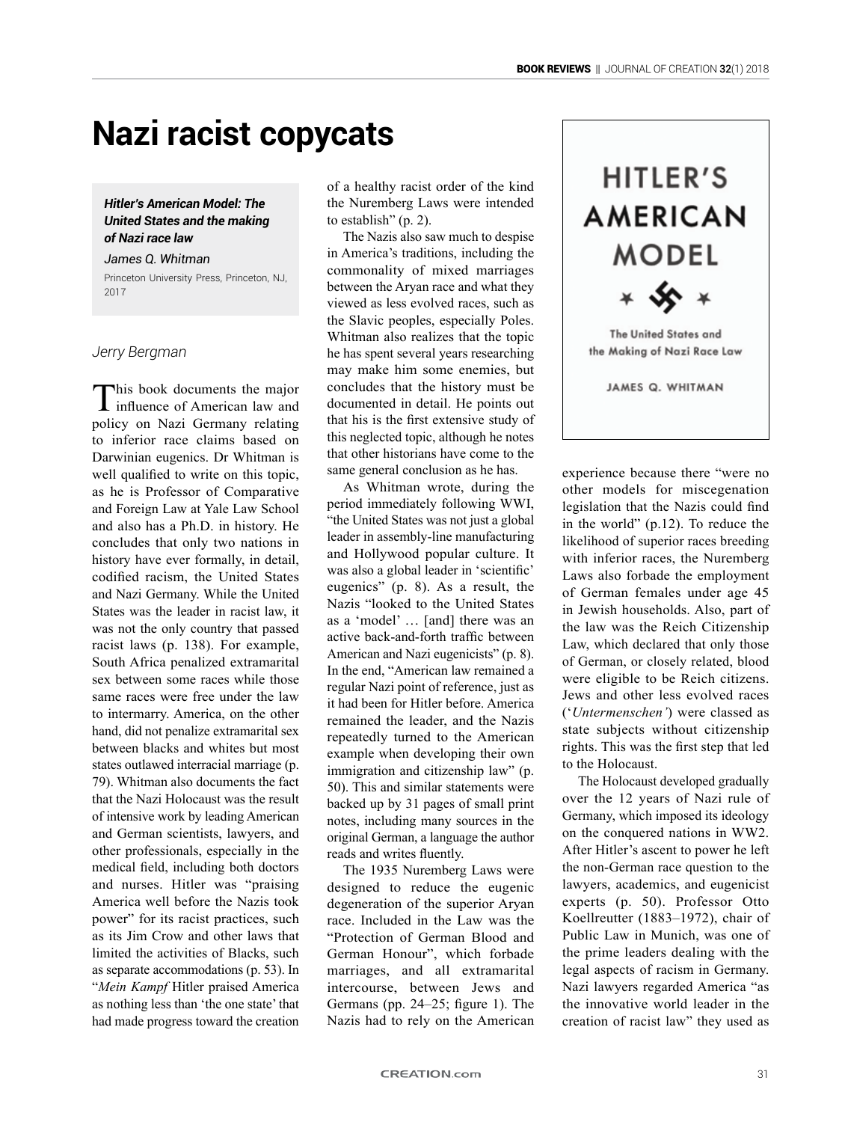# **Nazi racist copycats**

## *Hitler's American Model: The United States and the making of Nazi race law*

## *James Q. Whitman*

Princeton University Press, Princeton, NJ, 2017

*Jerry Bergman*

This book documents the major influence of American law and policy on Nazi Germany relating to inferior race claims based on Darwinian eugenics. Dr Whitman is well qualified to write on this topic, as he is Professor of Comparative and Foreign Law at Yale Law School and also has a Ph.D. in history. He concludes that only two nations in history have ever formally, in detail, codified racism, the United States and Nazi Germany. While the United States was the leader in racist law, it was not the only country that passed racist laws (p. 138). For example, South Africa penalized extramarital sex between some races while those same races were free under the law to intermarry. America, on the other hand, did not penalize extramarital sex between blacks and whites but most states outlawed interracial marriage (p. 79). Whitman also documents the fact that the Nazi Holocaust was the result of intensive work by leading American and German scientists, lawyers, and other professionals, especially in the medical field, including both doctors and nurses. Hitler was "praising America well before the Nazis took power" for its racist practices, such as its Jim Crow and other laws that limited the activities of Blacks, such as separate accommodations (p. 53). In "*Mein Kampf* Hitler praised America as nothing less than 'the one state' that had made progress toward the creation

of a healthy racist order of the kind the Nuremberg Laws were intended to establish" (p. 2).

The Nazis also saw much to despise in America's traditions, including the commonality of mixed marriages between the Aryan race and what they viewed as less evolved races, such as the Slavic peoples, especially Poles. Whitman also realizes that the topic he has spent several years researching may make him some enemies, but concludes that the history must be documented in detail. He points out that his is the first extensive study of this neglected topic, although he notes that other historians have come to the same general conclusion as he has.

As Whitman wrote, during the period immediately following WWI, "the United States was not just a global leader in assembly-line manufacturing and Hollywood popular culture. It was also a global leader in 'scientific' eugenics" (p. 8). As a result, the Nazis "looked to the United States as a 'model' … [and] there was an active back-and-forth traffic between American and Nazi eugenicists" (p. 8). In the end, "American law remained a regular Nazi point of reference, just as it had been for Hitler before. America remained the leader, and the Nazis repeatedly turned to the American example when developing their own immigration and citizenship law" (p. 50). This and similar statements were backed up by 31 pages of small print notes, including many sources in the original German, a language the author reads and writes fluently.

The 1935 Nuremberg Laws were designed to reduce the eugenic degeneration of the superior Aryan race. Included in the Law was the "Protection of German Blood and German Honour", which forbade marriages, and all extramarital intercourse, between Jews and Germans (pp. 24–25; figure 1). The Nazis had to rely on the American



experience because there "were no other models for miscegenation legislation that the Nazis could find in the world" (p.12). To reduce the likelihood of superior races breeding with inferior races, the Nuremberg Laws also forbade the employment of German females under age 45 in Jewish households. Also, part of the law was the Reich Citizenship Law, which declared that only those of German, or closely related, blood were eligible to be Reich citizens. Jews and other less evolved races ('*Untermenschen'*) were classed as state subjects without citizenship rights. This was the first step that led to the Holocaust.

The Holocaust developed gradually over the 12 years of Nazi rule of Germany, which imposed its ideology on the conquered nations in WW2. After Hitler's ascent to power he left the non-German race question to the lawyers, academics, and eugenicist experts (p. 50). Professor Otto Koellreutter (1883–1972), chair of Public Law in Munich, was one of the prime leaders dealing with the legal aspects of racism in Germany. Nazi lawyers regarded America "as the innovative world leader in the creation of racist law" they used as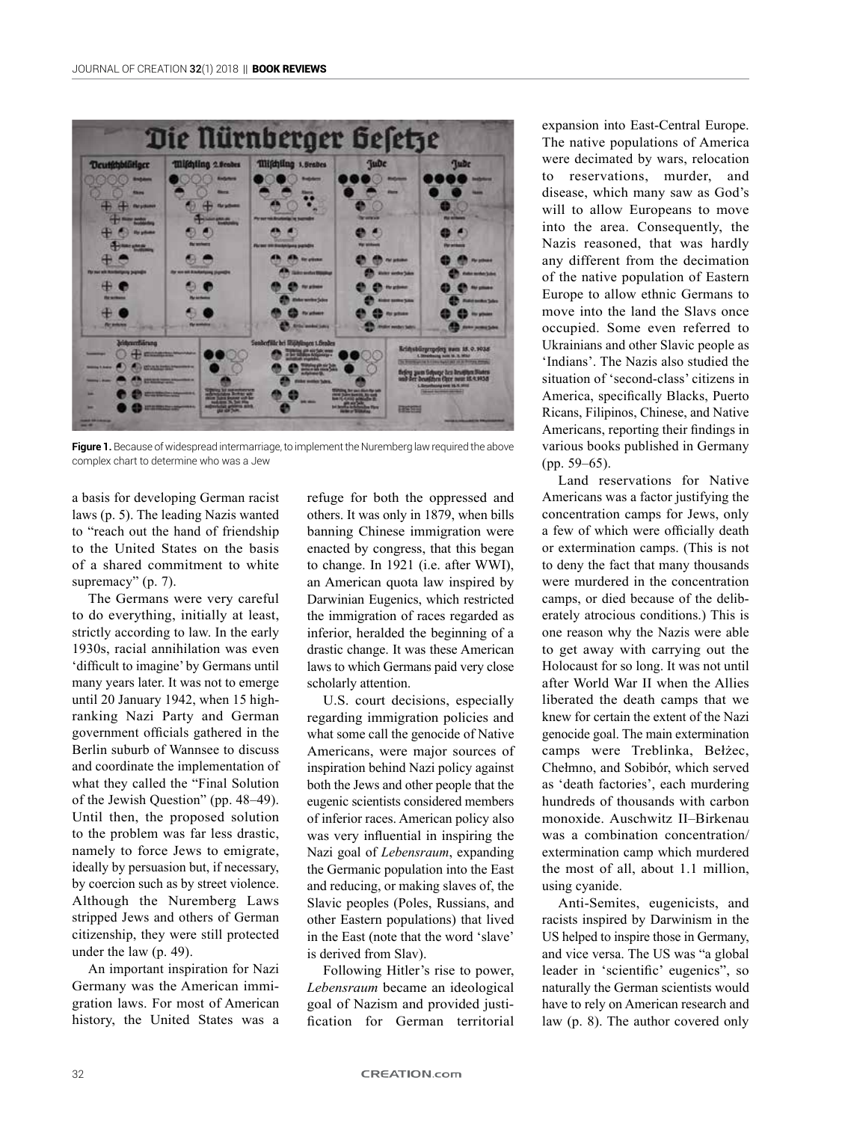

**Figure 1.** Because of widespread intermarriage, to implement the Nuremberg law required the above complex chart to determine who was a Jew

a basis for developing German racist laws (p. 5). The leading Nazis wanted to "reach out the hand of friendship to the United States on the basis of a shared commitment to white supremacy" (p. 7).

The Germans were very careful to do everything, initially at least, strictly according to law. In the early 1930s, racial annihilation was even 'difficult to imagine' by Germans until many years later. It was not to emerge until 20 January 1942, when 15 highranking Nazi Party and German government officials gathered in the Berlin suburb of Wannsee to discuss and coordinate the implementation of what they called the "Final Solution of the Jewish Question" (pp. 48–49). Until then, the proposed solution to the problem was far less drastic, namely to force Jews to emigrate, ideally by persuasion but, if necessary, by coercion such as by street violence. Although the Nuremberg Laws stripped Jews and others of German citizenship, they were still protected under the law (p. 49).

An important inspiration for Nazi Germany was the American immigration laws. For most of American history, the United States was a

refuge for both the oppressed and others. It was only in 1879, when bills banning Chinese immigration were enacted by congress, that this began to change. In 1921 (i.e. after WWI), an American quota law inspired by Darwinian Eugenics, which restricted the immigration of races regarded as inferior, heralded the beginning of a drastic change. It was these American laws to which Germans paid very close scholarly attention.

U.S. court decisions, especially regarding immigration policies and what some call the genocide of Native Americans, were major sources of inspiration behind Nazi policy against both the Jews and other people that the eugenic scientists considered members of inferior races. American policy also was very influential in inspiring the Nazi goal of *Lebensraum*, expanding the Germanic population into the East and reducing, or making slaves of, the Slavic peoples (Poles, Russians, and other Eastern populations) that lived in the East (note that the word 'slave' is derived from Slav).

Following Hitler's rise to power, *Lebensraum* became an ideological goal of Nazism and provided justification for German territorial

expansion into East-Central Europe. The native populations of America were decimated by wars, relocation to reservations, murder, and disease, which many saw as God's will to allow Europeans to move into the area. Consequently, the Nazis reasoned, that was hardly any different from the decimation of the native population of Eastern Europe to allow ethnic Germans to move into the land the Slavs once occupied. Some even referred to Ukrainians and other Slavic people as 'Indians'. The Nazis also studied the situation of 'second-class' citizens in America, specifically Blacks, Puerto Ricans, Filipinos, Chinese, and Native Americans, reporting their findings in various books published in Germany (pp. 59–65).

Land reservations for Native Americans was a factor justifying the concentration camps for Jews, only a few of which were officially death or extermination camps. (This is not to deny the fact that many thousands were murdered in the concentration camps, or died because of the deliberately atrocious conditions.) This is one reason why the Nazis were able to get away with carrying out the Holocaust for so long. It was not until after World War II when the Allies liberated the death camps that we knew for certain the extent of the Nazi genocide goal. The main extermination camps were Treblinka, Bełżec, Chełmno, and Sobibór, which served as 'death factories', each murdering hundreds of thousands with carbon monoxide. Auschwitz II–Birkenau was a combination concentration/ extermination camp which murdered the most of all, about 1.1 million, using cyanide.

Anti-Semites, eugenicists, and racists inspired by Darwinism in the US helped to inspire those in Germany, and vice versa. The US was "a global leader in 'scientific' eugenics", so naturally the German scientists would have to rely on American research and law (p. 8). The author covered only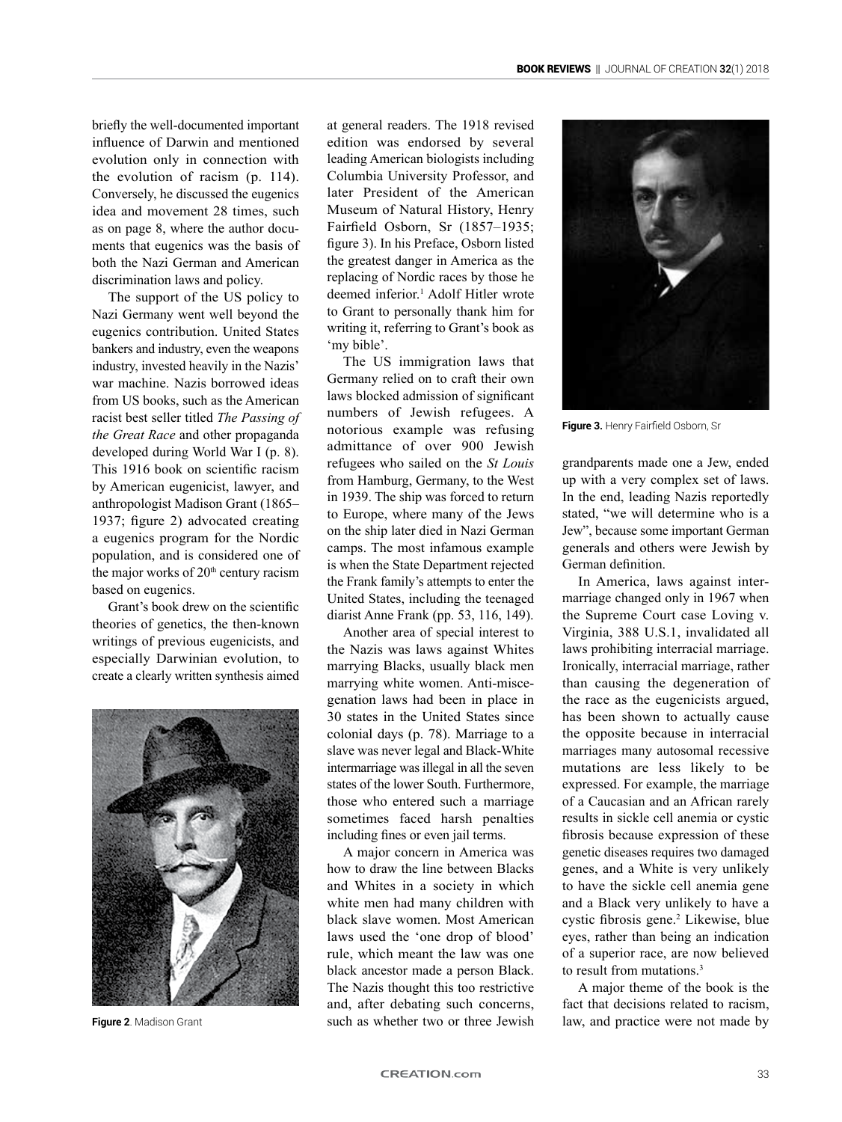briefly the well-documented important influence of Darwin and mentioned evolution only in connection with the evolution of racism (p. 114). Conversely, he discussed the eugenics idea and movement 28 times, such as on page 8, where the author documents that eugenics was the basis of both the Nazi German and American discrimination laws and policy.

The support of the US policy to Nazi Germany went well beyond the eugenics contribution. United States bankers and industry, even the weapons industry, invested heavily in the Nazis' war machine. Nazis borrowed ideas from US books, such as the American racist best seller titled *The Passing of the Great Race* and other propaganda developed during World War I (p. 8). This 1916 book on scientific racism by American eugenicist, lawyer, and anthropologist Madison Grant (1865– 1937; figure 2) advocated creating a eugenics program for the Nordic population, and is considered one of the major works of 20<sup>th</sup> century racism based on eugenics.

Grant's book drew on the scientific theories of genetics, the then-known writings of previous eugenicists, and especially Darwinian evolution, to create a clearly written synthesis aimed



at general readers. The 1918 revised edition was endorsed by several leading American biologists including Columbia University Professor, and later President of the American Museum of Natural History, Henry Fairfield Osborn, Sr (1857–1935; figure 3). In his Preface, Osborn listed the greatest danger in America as the replacing of Nordic races by those he deemed inferior.<sup>1</sup> Adolf Hitler wrote to Grant to personally thank him for writing it, referring to Grant's book as 'my bible'.

The US immigration laws that Germany relied on to craft their own laws blocked admission of significant numbers of Jewish refugees. A notorious example was refusing admittance of over 900 Jewish refugees who sailed on the *St Louis* from Hamburg, Germany, to the West in 1939. The ship was forced to return to Europe, where many of the Jews on the ship later died in Nazi German camps. The most infamous example is when the State Department rejected the Frank family's attempts to enter the United States, including the teenaged diarist Anne Frank (pp. 53, 116, 149).

Another area of special interest to the Nazis was laws against Whites marrying Blacks, usually black men marrying white women. Anti-miscegenation laws had been in place in 30 states in the United States since colonial days (p. 78). Marriage to a slave was never legal and Black-White intermarriage was illegal in all the seven states of the lower South. Furthermore, those who entered such a marriage sometimes faced harsh penalties including fines or even jail terms.

A major concern in America was how to draw the line between Blacks and Whites in a society in which white men had many children with black slave women. Most American laws used the 'one drop of blood' rule, which meant the law was one black ancestor made a person Black. The Nazis thought this too restrictive and, after debating such concerns, such as whether two or three Jewish **Figure 2**. Madison Grant **interpret in the state of the state of the state of the state of the state of the state by such as whether two or three Jewish law, and practice were not made by** 



**Figure 3.** Henry Fairfield Osborn, Sr

grandparents made one a Jew, ended up with a very complex set of laws. In the end, leading Nazis reportedly stated, "we will determine who is a Jew", because some important German generals and others were Jewish by German definition.

In America, laws against intermarriage changed only in 1967 when the Supreme Court case Loving v. Virginia, 388 U.S.1, invalidated all laws prohibiting interracial marriage. Ironically, interracial marriage, rather than causing the degeneration of the race as the eugenicists argued, has been shown to actually cause the opposite because in interracial marriages many autosomal recessive mutations are less likely to be expressed. For example, the marriage of a Caucasian and an African rarely results in sickle cell anemia or cystic fibrosis because expression of these genetic diseases requires two damaged genes, and a White is very unlikely to have the sickle cell anemia gene and a Black very unlikely to have a cystic fibrosis gene.<sup>2</sup> Likewise, blue eyes, rather than being an indication of a superior race, are now believed to result from mutations.3

A major theme of the book is the fact that decisions related to racism,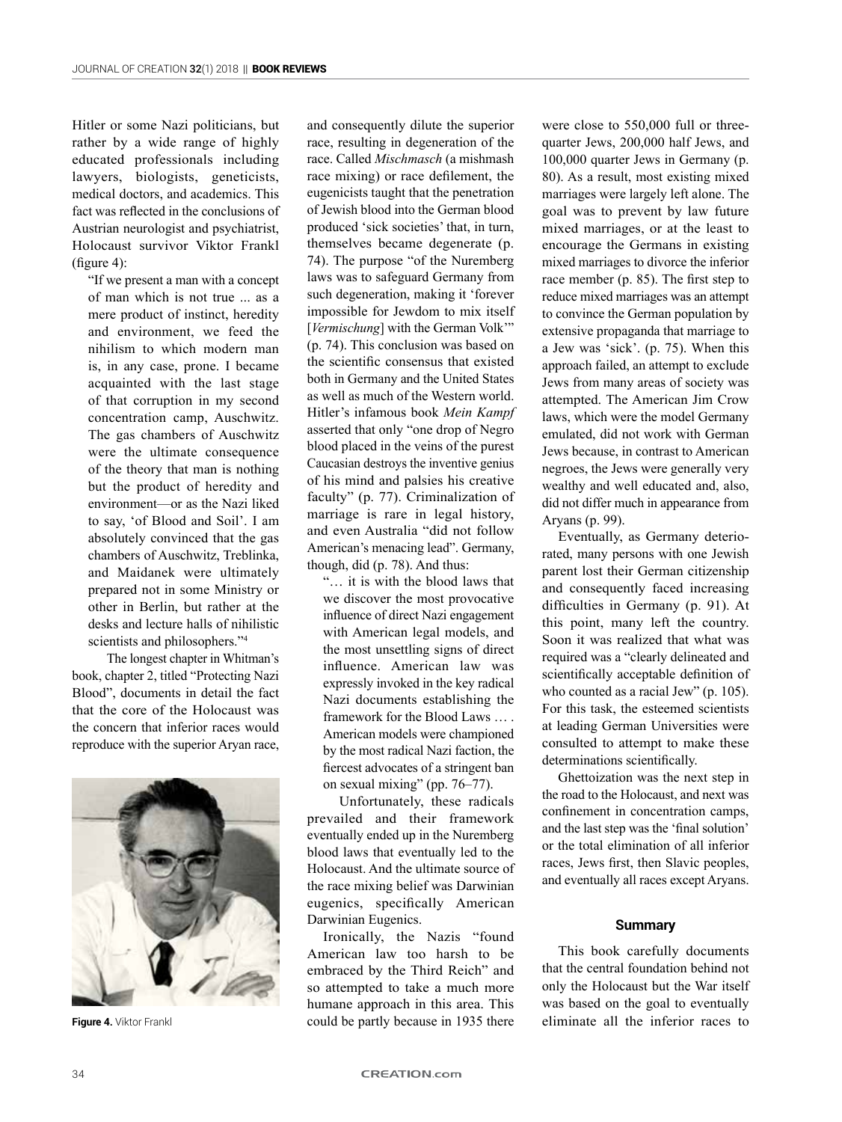Hitler or some Nazi politicians, but rather by a wide range of highly educated professionals including lawyers, biologists, geneticists, medical doctors, and academics. This fact was reflected in the conclusions of Austrian neurologist and psychiatrist, Holocaust survivor Viktor Frankl (figure 4):

"If we present a man with a concept of man which is not true ... as a mere product of instinct, heredity and environment, we feed the nihilism to which modern man is, in any case, prone. I became acquainted with the last stage of that corruption in my second concentration camp, Auschwitz. The gas chambers of Auschwitz were the ultimate consequence of the theory that man is nothing but the product of heredity and environment—or as the Nazi liked to say, 'of Blood and Soil'. I am absolutely convinced that the gas chambers of Auschwitz, Treblinka, and Maidanek were ultimately prepared not in some Ministry or other in Berlin, but rather at the desks and lecture halls of nihilistic scientists and philosophers."<sup>4</sup>

 The longest chapter in Whitman's book, chapter 2, titled "Protecting Nazi Blood", documents in detail the fact that the core of the Holocaust was the concern that inferior races would reproduce with the superior Aryan race,



and consequently dilute the superior race, resulting in degeneration of the race. Called *Mischmasch* (a mishmash race mixing) or race defilement, the eugenicists taught that the penetration of Jewish blood into the German blood produced 'sick societies' that, in turn, themselves became degenerate (p. 74). The purpose "of the Nuremberg laws was to safeguard Germany from such degeneration, making it 'forever impossible for Jewdom to mix itself [*Vermischung*] with the German Volk" (p. 74). This conclusion was based on the scientific consensus that existed both in Germany and the United States as well as much of the Western world. Hitler's infamous book *Mein Kampf* asserted that only "one drop of Negro blood placed in the veins of the purest Caucasian destroys the inventive genius of his mind and palsies his creative faculty" (p. 77). Criminalization of marriage is rare in legal history, and even Australia "did not follow American's menacing lead". Germany, though, did (p. 78). And thus:

"… it is with the blood laws that we discover the most provocative influence of direct Nazi engagement with American legal models, and the most unsettling signs of direct influence. American law was expressly invoked in the key radical Nazi documents establishing the framework for the Blood Laws … . American models were championed by the most radical Nazi faction, the fiercest advocates of a stringent ban on sexual mixing" (pp. 76–77).

Unfortunately, these radicals prevailed and their framework eventually ended up in the Nuremberg blood laws that eventually led to the Holocaust. And the ultimate source of the race mixing belief was Darwinian eugenics, specifically American Darwinian Eugenics.

Ironically, the Nazis "found American law too harsh to be embraced by the Third Reich" and so attempted to take a much more humane approach in this area. This **Figure 4.** Viktor Frankl **Example 2.** Could be partly because in 1935 there eliminate all the inferior races to

were close to 550,000 full or threequarter Jews, 200,000 half Jews, and 100,000 quarter Jews in Germany (p. 80). As a result, most existing mixed marriages were largely left alone. The goal was to prevent by law future mixed marriages, or at the least to encourage the Germans in existing mixed marriages to divorce the inferior race member (p. 85). The first step to reduce mixed marriages was an attempt to convince the German population by extensive propaganda that marriage to a Jew was 'sick'. (p. 75). When this approach failed, an attempt to exclude Jews from many areas of society was attempted. The American Jim Crow laws, which were the model Germany emulated, did not work with German Jews because, in contrast to American negroes, the Jews were generally very wealthy and well educated and, also, did not differ much in appearance from Aryans (p. 99).

Eventually, as Germany deteriorated, many persons with one Jewish parent lost their German citizenship and consequently faced increasing difficulties in Germany (p. 91). At this point, many left the country. Soon it was realized that what was required was a "clearly delineated and scientifically acceptable definition of who counted as a racial Jew" (p. 105). For this task, the esteemed scientists at leading German Universities were consulted to attempt to make these determinations scientifically.

Ghettoization was the next step in the road to the Holocaust, and next was confinement in concentration camps, and the last step was the 'final solution' or the total elimination of all inferior races, Jews first, then Slavic peoples, and eventually all races except Aryans.

### **Summary**

This book carefully documents that the central foundation behind not only the Holocaust but the War itself was based on the goal to eventually